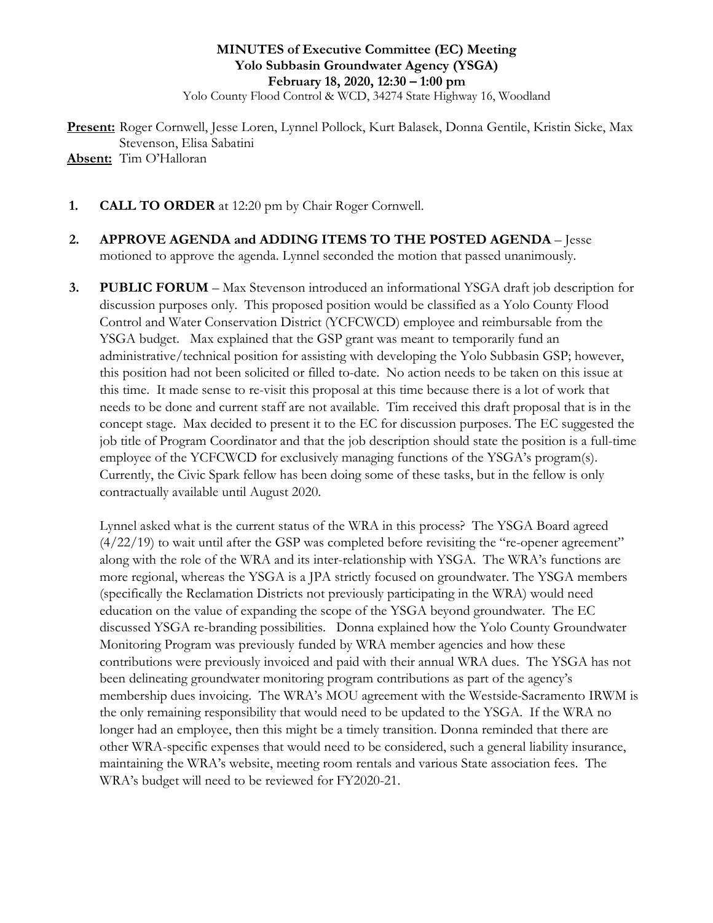### **MINUTES of Executive Committee (EC) Meeting Yolo Subbasin Groundwater Agency (YSGA) February 18, 2020, 12:30 – 1:00 pm**

Yolo County Flood Control & WCD, 34274 State Highway 16, Woodland

**Present:** Roger Cornwell, Jesse Loren, Lynnel Pollock, Kurt Balasek, Donna Gentile, Kristin Sicke, Max Stevenson, Elisa Sabatini **Absent:** Tim O'Halloran

- **1. CALL TO ORDER** at 12:20 pm by Chair Roger Cornwell.
- **2. APPROVE AGENDA and ADDING ITEMS TO THE POSTED AGENDA** Jesse motioned to approve the agenda. Lynnel seconded the motion that passed unanimously.
- **3. PUBLIC FORUM** Max Stevenson introduced an informational YSGA draft job description for discussion purposes only. This proposed position would be classified as a Yolo County Flood Control and Water Conservation District (YCFCWCD) employee and reimbursable from the YSGA budget. Max explained that the GSP grant was meant to temporarily fund an administrative/technical position for assisting with developing the Yolo Subbasin GSP; however, this position had not been solicited or filled to-date. No action needs to be taken on this issue at this time. It made sense to re-visit this proposal at this time because there is a lot of work that needs to be done and current staff are not available. Tim received this draft proposal that is in the concept stage. Max decided to present it to the EC for discussion purposes. The EC suggested the job title of Program Coordinator and that the job description should state the position is a full-time employee of the YCFCWCD for exclusively managing functions of the YSGA's program(s). Currently, the Civic Spark fellow has been doing some of these tasks, but in the fellow is only contractually available until August 2020.

Lynnel asked what is the current status of the WRA in this process? The YSGA Board agreed (4/22/19) to wait until after the GSP was completed before revisiting the "re-opener agreement" along with the role of the WRA and its inter-relationship with YSGA. The WRA's functions are more regional, whereas the YSGA is a JPA strictly focused on groundwater. The YSGA members (specifically the Reclamation Districts not previously participating in the WRA) would need education on the value of expanding the scope of the YSGA beyond groundwater. The EC discussed YSGA re-branding possibilities. Donna explained how the Yolo County Groundwater Monitoring Program was previously funded by WRA member agencies and how these contributions were previously invoiced and paid with their annual WRA dues. The YSGA has not been delineating groundwater monitoring program contributions as part of the agency's membership dues invoicing. The WRA's MOU agreement with the Westside-Sacramento IRWM is the only remaining responsibility that would need to be updated to the YSGA. If the WRA no longer had an employee, then this might be a timely transition. Donna reminded that there are other WRA-specific expenses that would need to be considered, such a general liability insurance, maintaining the WRA's website, meeting room rentals and various State association fees. The WRA's budget will need to be reviewed for FY2020-21.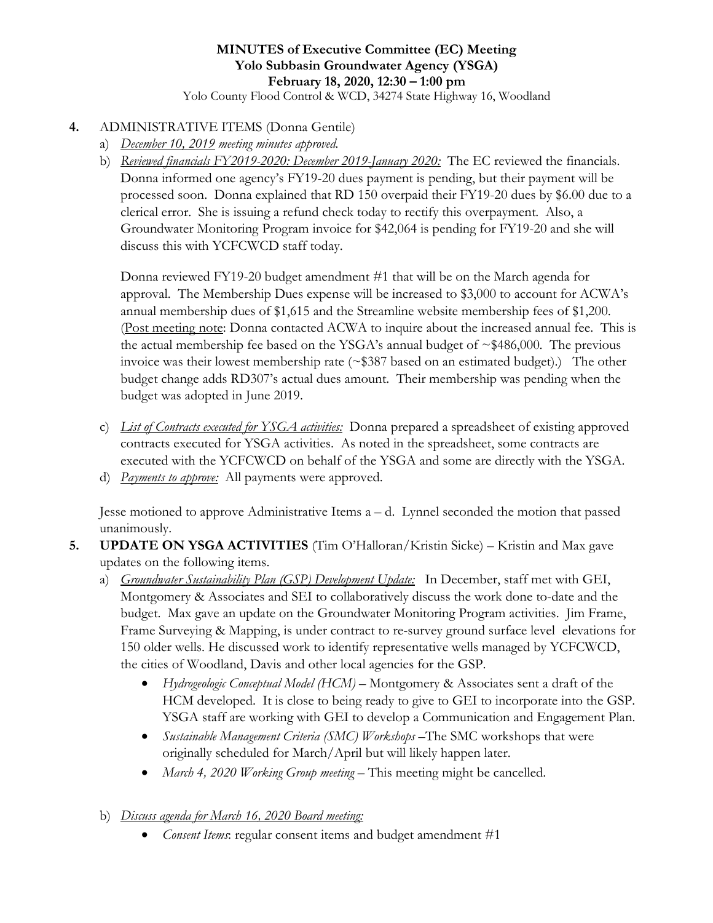# **MINUTES of Executive Committee (EC) Meeting Yolo Subbasin Groundwater Agency (YSGA) February 18, 2020, 12:30 – 1:00 pm**

Yolo County Flood Control & WCD, 34274 State Highway 16, Woodland

#### **4.** ADMINISTRATIVE ITEMS (Donna Gentile)

- a) *December 10, 2019 meeting minutes approved.*
- b) *Reviewed financials FY2019-2020: December 2019-January 2020:* The EC reviewed the financials. Donna informed one agency's FY19-20 dues payment is pending, but their payment will be processed soon. Donna explained that RD 150 overpaid their FY19-20 dues by \$6.00 due to a clerical error. She is issuing a refund check today to rectify this overpayment. Also, a Groundwater Monitoring Program invoice for \$42,064 is pending for FY19-20 and she will discuss this with YCFCWCD staff today.

Donna reviewed FY19-20 budget amendment #1 that will be on the March agenda for approval. The Membership Dues expense will be increased to \$3,000 to account for ACWA's annual membership dues of \$1,615 and the Streamline website membership fees of \$1,200. (Post meeting note: Donna contacted ACWA to inquire about the increased annual fee. This is the actual membership fee based on the YSGA's annual budget of  $\sim $486,000$ . The previous invoice was their lowest membership rate  $(\sim$ \$387 based on an estimated budget).) The other budget change adds RD307's actual dues amount. Their membership was pending when the budget was adopted in June 2019.

- c) *List of Contracts executed for YSGA activities:* Donna prepared a spreadsheet of existing approved contracts executed for YSGA activities. As noted in the spreadsheet, some contracts are executed with the YCFCWCD on behalf of the YSGA and some are directly with the YSGA.
- d) *Payments to approve:* All payments were approved.

Jesse motioned to approve Administrative Items  $a - d$ . Lynnel seconded the motion that passed unanimously.

- **5. UPDATE ON YSGA ACTIVITIES** (Tim O'Halloran/Kristin Sicke) Kristin and Max gave updates on the following items.
	- a) *Groundwater Sustainability Plan (GSP) Development Update:* In December, staff met with GEI, Montgomery & Associates and SEI to collaboratively discuss the work done to-date and the budget. Max gave an update on the Groundwater Monitoring Program activities. Jim Frame, Frame Surveying & Mapping, is under contract to re-survey ground surface level elevations for 150 older wells. He discussed work to identify representative wells managed by YCFCWCD, the cities of Woodland, Davis and other local agencies for the GSP.
		- *Hydrogeologic Conceptual Model (HCM)* Montgomery & Associates sent a draft of the HCM developed. It is close to being ready to give to GEI to incorporate into the GSP. YSGA staff are working with GEI to develop a Communication and Engagement Plan.
		- *Sustainable Management Criteria (SMC) Workshops* –The SMC workshops that were originally scheduled for March/April but will likely happen later.
		- *March 4, 2020 Working Group meeting* This meeting might be cancelled.
	- b) *Discuss agenda for March 16, 2020 Board meeting:* 
		- *Consent Items*: regular consent items and budget amendment #1